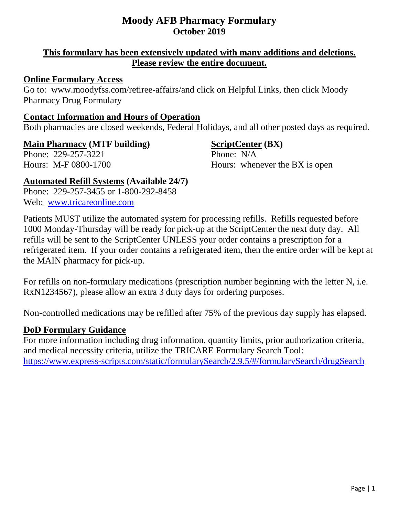# **This formulary has been extensively updated with many additions and deletions. Please review the entire document.**

# **Online Formulary Access**

Go to: www.moodyfss.com/retiree-affairs/and click on Helpful Links, then click Moody Pharmacy Drug Formulary

# **Contact Information and Hours of Operation**

Both pharmacies are closed weekends, Federal Holidays, and all other posted days as required.

Phone: 229-257-3221 Phone: N/A

# **Main Pharmacy (MTF building) ScriptCenter (BX)**

Hours: M-F 0800-1700 Hours: whenever the BX is open

**Automated Refill Systems (Available 24/7)** Phone:229-257-3455 or 1-800-292-8458 Web: [www.tricareonline.com](http://www.tricareonline.com/)

Patients MUST utilize the automated system for processing refills. Refills requested before 1000 Monday-Thursday will be ready for pick-up at the ScriptCenter the next duty day. All refills will be sent to the ScriptCenter UNLESS your order contains a prescription for a refrigerated item. If your order contains a refrigerated item, then the entire order will be kept at the MAIN pharmacy for pick-up.

For refills on non-formulary medications (prescription number beginning with the letter N, i.e. RxN1234567), please allow an extra 3 duty days for ordering purposes.

Non-controlled medications may be refilled after 75% of the previous day supply has elapsed.

# **DoD Formulary Guidance**

For more information including drug information, quantity limits, prior authorization criteria, and medical necessity criteria, utilize the TRICARE Formulary Search Tool: <https://www.express-scripts.com/static/formularySearch/2.9.5/#/formularySearch/drugSearch>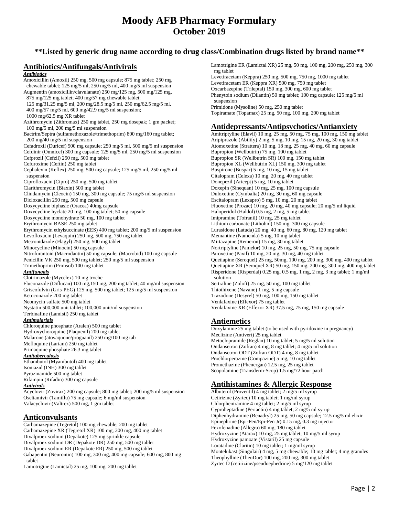# **\*\*Listed by generic drug name according to drug class/Combination drugs listed by brand name\*\***

## **Antibiotics/Antifungals/Antivirals**

#### *Antibiotics*

Amoxicillin (Amoxil) 250 mg, 500 mg capsule; 875 mg tablet; 250 mg chewable tablet; 125 mg/5 ml, 250 mg/5 ml, 400 mg/5 ml suspension Augmentin (amoxicillin/clavulanate) 250 mg/125 mg, 500 mg/125 mg, 875 mg/125 mg tablet; 400 mg/57 mg chewable tablet; 125 mg/31.25 mg/5 ml, 200 mg/28.5 mg/5 ml, 250 mg/62.5 mg/5 ml, 400 mg/57 mg/5 ml, 600 mg/42.9 mg/5 ml suspension; 1000 mg/62.5 mg XR tablet Azithromycin (Zithromax) 250 mg tablet, 250 mg dosepak; 1 gm packet; 100 mg/5 ml, 200 mg/5 ml suspension Bactrim/Septra (sulfamethoxazole/trimethoprim) 800 mg/160 mg tablet; 200 mg/40 mg/5 ml suspension Cefadroxil (Duricef) 500 mg capsule; 250 mg/5 ml, 500 mg/5 ml suspension Cefdinir (Omnicef) 300 mg capsule; 125 mg/5 ml, 250 mg/5 ml suspension Cefprozil (Cefzil) 250 mg, 500 mg tablet Cefuroxime (Ceftin) 250 mg tablet Cephalexin (Keflex) 250 mg, 500 mg capsule; 125 mg/5 ml, 250 mg/5 ml suspension Ciprofloxacin (Cipro) 250 mg, 500 mg tablet Clarithromycin (Biaxin) 500 mg tablet Clindamycin (Cleocin) 150 mg, 300 mg capsule; 75 mg/5 ml suspension Dicloxacillin 250 mg, 500 mg capsule Doxycycline biphasic (Oracea) 40mg capsule Doxycycline hyclate 20 mg, 100 mg tablet; 50 mg capsule Doxycycline monohydrate 50 mg, 100 mg tablet Erythromycin BASE 250 mg tablet Erythromycin ethylsuccinate (EES) 400 mg tablet; 200 mg/5 ml suspension Levofloxacin (Levaquin) 250 mg, 500 mg, 750 mg tablet Metronidazole (Flagyl) 250 mg, 500 mg tablet Minocycline (Minocin) 50 mg capsule Nitrofurantoin (Macrodantin) 50 mg capsule; (Macrobid) 100 mg capsule Penicillin VK 250 mg, 500 mg tablet; 250 mg/5 ml suspension Trimethoprim (Primsol) 100 mg tablet *Antifungals* Clotrimazole (Mycelex) 10 mg troche Fluconazole (Diflucan) 100 mg,150 mg, 200 mg tablet; 40 mg/ml suspension Griseofulvin (Gris-PEG) 125 mg, 500 mg tablet; 125 mg/5 ml suspension Ketoconazole 200 mg tablet Neomycin sulfate 500 mg tablet Nystatin 500,000 unit tablet; 100,000 unit/ml suspension Terbinafine (Lamisil) 250 mg tablet *Antimalarials* Chloroquine phosphate (Aralen) 500 mg tablet Hydroxychoroquine (Plaquenil) 200 mg tablet Malarone (atovaquone/proguanil) 250 mg/100 mg tab Mefloquine (Lariam) 250 mg tablet Primaquine phosphate 26.3 mg tablet *Antituberculosis* Ethambutol (Myambutol) 400 mg tablet Isoniazid (INH) 300 mg tablet Pyrazinamide 500 mg tablet Rifampin (Rifadin) 300 mg capsule *Antivirals* Acyclovir (Zovirax) 200 mg capsule; 800 mg tablet; 200 mg/5 ml suspension Oseltamivir (Tamiflu) 75 mg capsule; 6 mg/ml suspension Valacyclovir (Valtrex) 500 mg, 1 gm tablet

#### **Anticonvulsants**

Carbamazepine (Tegretol) 100 mg chewable; 200 mg tablet Carbamazepine XR (Tegretol XR) 100 mg, 200 mg, 400 mg tablet Divalproex sodium (Depakote) 125 mg sprinkle capsule Divalproex sodium DR (Depakote DR) 250 mg, 500 mg tablet Divalproex sodium ER (Depakote ER) 250 mg, 500 mg tablet Gabapentin (Neurontin) 100 mg, 300 mg, 400 mg capsule; 600 mg, 800 mg tablet

Lamotrigine (Lamictal) 25 mg, 100 mg, 200 mg tablet

Lamotrigine ER (Lamictal XR) 25 mg, 50 mg, 100 mg, 200 mg, 250 mg, 300 mg tablet

Levetiracetam (Keppra) 250 mg, 500 mg, 750 mg, 1000 mg tablet Levetiracetam ER (Keppra XR) 500 mg, 750 mg tablet Oxcarbazepine (Trileptal) 150 mg, 300 mg, 600 mg tablet Phenytoin sodium (Dilantin) 50 mg tablet; 100 mg capsule; 125 mg/5 ml suspension

Primidone (Mysoline) 50 mg, 250 mg tablet Topiramate (Topamax) 25 mg, 50 mg, 100 mg, 200 mg tablet

#### **Antidepressants/Antipsychotics/Antianxiety**

Amitriptyline (Elavil) 10 mg, 25 mg, 50 mg, 75 mg, 100 mg, 150 mg tablet Aripiprazole (Abilify) 2 mg, 5 mg, 10 mg, 15 mg, 20 mg, 30 mg tablet Atomoxetine (Strattera) 10 mg, 18 mg, 25 mg, 40 mg, 60 mg capsule Bupropion (Wellbutrin) 75 mg, 100 mg tablet Bupropion SR (Wellbutrin SR) 100 mg, 150 mg tablet Bupropion XL (Wellbutrin XL) 150 mg, 300 mg tablet Buspirone (Buspar) 5 mg, 10 mg, 15 mg tablet Citalopram (Celexa) 10 mg, 20 mg, 40 mg tablet Donepezil (Aricept) 5 mg, 10 mg tablet Doxepin (Sinequan) 10 mg, 25 mg, 100 mg capsule Duloxetine (Cymbalta) 20 mg, 30 mg, 60 mg capsule Escitalopram (Lexapro) 5 mg, 10 mg, 20 mg tablet Fluoxetine (Prozac) 10 mg, 20 mg, 40 mg capsule; 20 mg/5 ml liquid Haloperidol (Haldol) 0.5 mg, 2 mg, 5 mg tablet Imipramine (Tofranil) 10 mg, 25 mg tablet Lithium carbonate (Lithobid) 150 mg, 300 mg capsule Lurasidone (Latuda) 20 mg, 40 mg, 60 mg, 80 mg, 120 mg tablet Memantine (Namenda) 5 mg, 10 mg tablet Mirtazapine (Remeron) 15 mg, 30 mg tablet Nortriptyline (Pamelor) 10 mg, 25 mg, 50 mg, 75 mg capsule Paroxetine (Paxil) 10 mg, 20 mg, 30 mg, 40 mg tablet Quetiapine (Seroquel) 25 mg, 50mg, 100 mg, 200 mg, 300 mg, 400 mg tablet Quetiapine XR (Seroquel XR) 50 mg, 150 mg, 200 mg, 300 mg, 400 mg tablet Risperidone (Risperdal) 0.25 mg, 0.5 mg, 1 mg, 2 mg, 3 mg tablet; 1 mg/ml solution Sertraline (Zoloft) 25 mg, 50 mg, 100 mg tablet Thiothixene (Navane) 1 mg, 5 mg capsule Trazodone (Desyrel) 50 mg, 100 mg, 150 mg tablet Venlafaxine (Effexor) 75 mg tablet Venlafaxine XR (Effexor XR) 37.5 mg, 75 mg, 150 mg capsule

#### **Antiemetics**

Doxylamine 25 mg tablet (to be used with pyridoxine in pregnancy) Meclizine (Antivert) 25 mg tablet Metoclopramide (Reglan) 10 mg tablet; 5 mg/5 ml solution Ondansetron (Zofran) 4 mg, 8 mg tablet; 4 mg/5 ml solution Ondansetron ODT (Zofran ODT) 4 mg, 8 mg tablet Prochlorperazine (Compazine) 5 mg, 10 mg tablet Promethazine (Phenergan) 12.5 mg, 25 mg tablet Scopolamine (Transderm-Scop) 1.5 mg/72 hour patch

#### **Antihistamines & Allergic Response**

Albuterol (Proventil) 4 mg tablet; 2 mg/5 ml syrup Cetirizine (Zyrtec) 10 mg tablet; 1 mg/ml syrup Chlorpheniramine 4 mg tablet; 2 mg/5 ml syrup Cyproheptadine (Periactin) 4 mg tablet; 2 mg/5 ml syrup Diphenhydramine (Benadryl) 25 mg, 50 mg capsule; 12.5 mg/5 ml elixir Epinephrine (Epi-Pen/Epi-Pen Jr) 0.15 mg, 0.3 mg injector Fexofenadine (Allegra) 60 mg, 180 mg tablet Hydroxyzine (Atarax) 10 mg, 25 mg tablet; 10 mg/5 ml syrup Hydroxyzine pamoate (Vistaril) 25 mg capsule Loratadine (Claritin) 10 mg tablet; 1 mg/ml syrup Montelukast (Singulair) 4 mg, 5 mg chewable; 10 mg tablet; 4 mg granules Theophylline (TheoDur) 100 mg, 200 mg, 300 mg tablet Zyrtec D (cetirizine/pseudoephedrine) 5 mg/120 mg tablet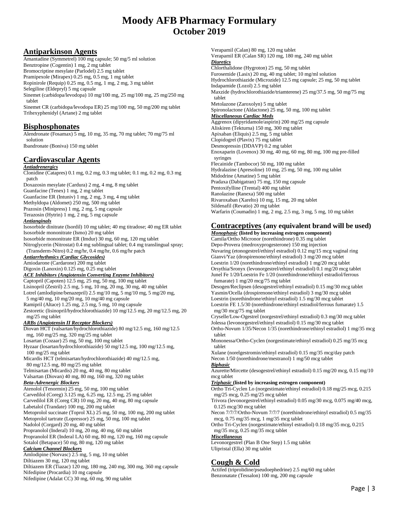### **Antiparkinson Agents**

Amantadine (Symmetrel) 100 mg capsule; 50 mg/5 ml solution Benztropine (Cogentin) 1 mg, 2 mg tablet Bromocriptine mesylate (Parlodel) 2.5 mg tablet Pramipexole (Mirapex) 0.25 mg, 0.5 mg, 1 mg tablet Ropinirole (Requip) 0.25 mg, 0.5 mg, 1 mg, 2 mg, 3 mg tablet Selegiline (Eldepryl) 5 mg capsule Sinemet (carbidopa/levodopa) 10 mg/100 mg, 25 mg/100 mg, 25 mg/250 mg tablet Sinemet CR (carbidopa/levodopa ER) 25 mg/100 mg, 50 mg/200 mg tablet Trihexyphenidyl (Artane) 2 mg tablet

### **Bisphosphonates**

Alendronate (Fosamax) 5 mg, 10 mg, 35 mg, 70 mg tablet; 70 mg/75 ml solution

Ibandronate (Boniva) 150 mg tablet

#### **Cardiovascular Agents**

*Antiadrenergics* Clonidine (Catapres) 0.1 mg, 0.2 mg, 0.3 mg tablet; 0.1 mg, 0.2 mg, 0.3 mg patch

Doxazosin mesylate (Cardura) 2 mg, 4 mg, 8 mg tablet

Guanfacine (Tenex) 1 mg, 2 mg tablet

Guanfacine ER (Intuniv) 1 mg, 2 mg, 3 mg, 4 mg tablet

Methyldopa (Aldomet) 250 mg, 500 mg tablet

Prazosin (Minipress) 1 mg, 2 mg, 5 mg capsule Terazosin (Hytrin) 1 mg, 2 mg, 5 mg capsule

*Antianginals*

Isosorbide dinitrate (Isordil) 10 mg tablet; 40 mg titradose; 40 mg ER tablet Isosorbide mononitrate (Ismo) 20 mg tablet

Isosorbide mononitrate ER (Imdur) 30 mg, 60 mg, 120 mg tablet Nitroglycerin (Nitrostat) 0.4 mg sublingual tablet; 0.4 mg translingual spray;

(Transderm-Nitro) 0.2 mg/hr, 0.4 mg/hr, 0.6 mg/hr patch

*Antiarrhythmics (Cardiac Glycosides)* Amiodarone (Cardarone) 200 mg tablet

Digoxin (Lanoxin) 0.125 mg, 0.25 mg tablet

# *ACE Inhibitors (Angiotensin Converting Enzyme Inhibitors)*

Captopril (Capoten) 12.5 mg, 25 mg, 50 mg, 100 mg tablet

Lisinopril (Zestril) 2.5 mg, 5 mg, 10 mg, 20 mg, 30 mg, 40 mg tablet Lotrel (amlodipine/benazepril) 2.5 mg/10 mg, 5 mg/10 mg, 5 mg/20 mg,

5 mg/40 mg, 10 mg/20 mg, 10 mg/40 mg capsule Ramipril (Altace) 1.25 mg, 2.5 mg, 5 mg, 10 mg capsule

Zestoretic (lisinopril/hydrochlorothiazide) 10 mg/12.5 mg, 20 mg/12.5 mg, 20 mg/25 mg tablet

#### *ARBs (Angiotensin II Receptor Blockers)*

Diovan HCT (valsartan/hydrochlorothiazide) 80 mg/12.5 mg, 160 mg/12.5 mg, 160 mg/25 mg, 320 mg/25 mg tablet

Losartan (Cozaar) 25 mg, 50 mg, 100 mg tablet

Hyzaar (losartan/hydrochlorothiazide) 50 mg/12.5 mg, 100 mg/12.5 mg, 100 mg/25 mg tablet

Micardis HCT (telmisartan/hydrochlorothiazide) 40 mg/12.5 mg, 80 mg/12.5 mg, 80 mg/25 mg tablet

Telmisartan (Micardis) 20 mg, 40 mg, 80 mg tablet

Valsartan (Diovan) 40 mg, 80 mg, 160 mg, 320 mg tablet

*Beta-Adrenergic Blockers*

Atenolol (Tenormin) 25 mg, 50 mg, 100 mg tablet Carvedilol (Coreg) 3.125 mg, 6.25 mg, 12.5 mg, 25 mg tablet Carvedilol ER (Coreg CR) 10 mg, 20 mg, 40 mg, 80 mg capsule Labetalol (Trandate) 100 mg, 200 mg tablet Metoprolol succinate (Toprol XL) 25 mg, 50 mg, 100 mg, 200 mg tablet Metoprolol tartrate (Lopressor) 25 mg, 50 mg, 100 mg tablet Nadolol (Corgard) 20 mg, 40 mg tablet

Propranolol (Inderal) 10 mg, 20 mg, 40 mg, 60 mg tablet Propranolol ER (Inderal LA) 60 mg, 80 mg, 120 mg, 160 mg capsule Sotalol (Betapace) 50 mg, 80 mg, 120 mg tablet

#### *Calcium Channel Blockers*

Amlodipine (Norvasc) 2.5 mg, 5 mg, 10 mg tablet

Diltiazem 30 mg, 120 mg tablet Diltiazem ER (Tiazac) 120 mg, 180 mg, 240 mg, 300 mg, 360 mg capsule Nifedipine (Procardia) 10 mg capsule Nifedipine (Adalat CC) 30 mg, 60 mg, 90 mg tablet

Verapamil (Calan) 80 mg, 120 mg tablet Verapamil ER (Calan SR) 120 mg, 180 mg, 240 mg tablet *Diuretics* Chlorthalidone (Hygroton) 25 mg, 50 mg tablet Furosemide (Lasix) 20 mg, 40 mg tablet; 10 mg/ml solution Hydrochlorothiazide (Microzide) 12.5 mg capsule; 25 mg, 50 mg tablet Indapamide (Lozol) 2.5 mg tablet Maxzide (hydrochlorothiazide/triamterene) 25 mg/37.5 mg, 50 mg/75 mg tablet Metolazone (Zaroxolyn) 5 mg tablet Spironolactone (Aldactone) 25 mg, 50 mg, 100 mg tablet *Miscellaneous Cardiac Meds* Aggrenox (dipyridamole/aspirin) 200 mg/25 mg capsule Aliskiren (Tekturna) 150 mg, 300 mg tablet Apixaban (Eliquis) 2.5 mg, 5 mg tablet Clopidogrel (Plavix) 75 mg tablet Desmopressin (DDAVP) 0.2 mg tablet Enoxaparin (Lovenox) 30 mg, 40 mg, 60 mg, 80 mg, 100 mg pre-filled syringes Flecainide (Tambocor) 50 mg, 100 mg tablet Hydralazine (Apresoline) 10 mg, 25 mg, 50 mg, 100 mg tablet Midodrine (Amatine) 5 mg tablet Pradaxa (Dabigatran) 75 mg, 150 mg capsule Pentoxifylline (Trental) 400 mg tablet Ranolazine (Ranexa) 500 mg tablet Rivaroxaban (Xarelto) 10 mg, 15 mg, 20 mg tablet Sildenafil (Revatio) 20 mg tablet Warfarin (Coumadin) 1 mg, 2 mg, 2.5 mg, 3 mg, 5 mg, 10 mg tablet

# **Contraceptives (any equivalent brand will be used)**

*Monophasic* **(listed by increasing estrogen component)** Camila/Ortho Micronor (norethindrone) 0.35 mg tablet Depo-Provera (medroxyprogesterone) 150 mg injection Nuvaring (etonogestrel/ethinyl estradiol) 0.12 mg/15 mcg vaginal ring Gianvi/Yaz (drospirenone/ethinyl estradiol) 3 mg/20 mcg tablet Loestrin 1/20 (norethindrone/ethinyl estradiol) 1 mg/20 mcg tablet Orsythia/Sronyx (levonorgestrel/ethinyl estradiol) 0.1 mg/20 mcg tablet Junel Fe 1/20/Loestrin Fe 1/20 (norethindrone/ethinyl estradiol/ferrous fumarate) 1 mg/20 mcg/75 mg tablet Desogen/Reclipsen (desogestrel/ethinyl estradiol) 0.15 mg/30 mcg tablet Yasmin/Ocella (drospirenone/ethinyl estradiol) 3 mg/30 mcg tablet Loestrin (norethindrone/ethinyl estradiol) 1.5 mg/30 mcg tablet Loestrin FE 1.5/30 (norethindrone/ethinyl estradiol/ferrous fumarate) 1.5 mg/30 mcg/75 mg tablet Cryselle/Low-Ogestrel (norgestrel/ethinyl estradiol) 0.3 mg/30 mcg tablet Jolessa (levonorgestrel/ethinyl estradiol) 0.15 mg/30 mcg tablet Ortho-Novum 1/35/Necon 1/35 (norethindrone/ethinyl estradiol) 1 mg/35 mcg tablet Mononessa/Ortho-Cyclen (norgestimate/ethinyl estradiol) 0.25 mg/35 mcg tablet Xulane (norelgestromin/ethinyl estradiol) 0.15 mg/35 mcg/day patch Necon 1/50 (norethindrone/mestranol) 1 mg/50 mcg tablet *Biphasic* Azurette/Mircette (desogestrel/ethinyl estradiol) 0.15 mg/20 mcg, 0.15 mg/10 mcg tablet *Triphasic* **(listed by increasing estrogen component)** Ortho Tri-Cyclen Lo (norgestimate/ethinyl estradiol) 0.18 mg/25 mcg, 0.215 mg/25 mcg, 0.25 mg/25 mcg tablet Trivora (levonorgestrel/ethinyl estradiol) 0.05 mg/30 mcg, 0.075 mg/40 mcg, 0.125 mcg/30 mcg tablet Necon 7/7/7/Ortho-Novum 7/7/7 (norethindrone/ethinyl estradiol) 0.5 mg/35 mcg, 0.75 mg/35 mcg, 1 mg/35 mcg tablet Ortho Tri-Cyclen (norgestimate/ethinyl estradiol) 0.18 mg/35 mcg, 0.215 mg/35 mcg, 0.25 mg/35 mcg tablet *Miscellaneous* Levonorgestrel (Plan B One Step) 1.5 mg tablet Ulipristal (Ella) 30 mg tablet

## **Cough & Cold**

Actifed (triprolidine/pseudoephedrine) 2.5 mg/60 mg tablet Benzonatate (Tessalon) 100 mg, 200 mg capsule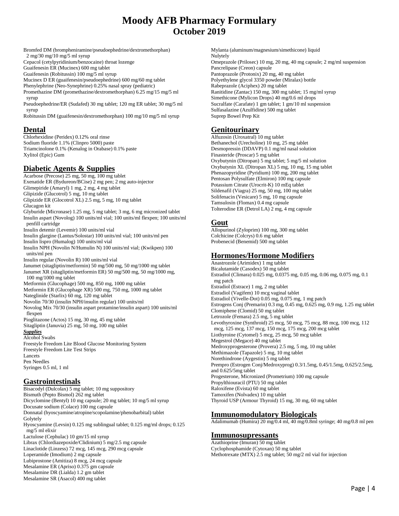Bromfed DM (brompheniramine/pseudoephedrine/dextromethorphan) 2 mg/30 mg/10 mg/5 ml syrup

Cepacol (cetylpyridinium/benzocaine) throat lozenge

Guaifenesin ER (Mucinex) 600 mg tablet

Guaifenesin (Robitussin) 100 mg/5 ml syrup

Mucinex D ER (guaifenesin/pseudoephedrine) 600 mg/60 mg tablet

Phenylephrine (Neo-Synephrine) 0.25% nasal spray (pediatric)

Promethazine DM (promethazine/dextromethorphan) 6.25 mg/15 mg/5 ml syrup

Pseudoephedrine/ER (Sudafed) 30 mg tablet; 120 mg ER tablet; 30 mg/5 ml syrup

Robitussin DM (guaifenesin/dextromethorphan) 100 mg/10 mg/5 ml syrup

#### **Dental**

Chlorhexidine (Peridex) 0.12% oral rinse Sodium fluoride 1.1% (Clinpro 5000) paste Triamcinolone 0.1% (Kenalog in Orabase) 0.1% paste Xylitol (Epic) Gum

# **Diabetic Agents & Supplies**

Acarbose (Precose) 25 mg, 50 mg, 100 mg tablet Exenatide ER (Bydureon/BCise) 2 mg pen; 2 mg auto-injector Glimepiride (Amaryl) 1 mg, 2 mg, 4 mg tablet Glipizide (Glucotrol) 5 mg, 10 mg tablet Glipizide ER (Glocotrol XL) 2.5 mg, 5 mg, 10 mg tablet Glucagon kit Glyburide (Micronase) 1.25 mg, 5 mg tablet; 3 mg, 6 mg micronized tablet Insulin aspart (Novolog) 100 units/ml vial; 100 units/ml flexpen; 100 units/ml penfill cartridge Insulin detemir (Levemir) 100 units/ml vial Insulin glargine (Lantus/Solostar) 100 units/ml vial; 100 units/ml pen Insulin lispro (Humalog) 100 units/ml vial Insulin NPH (Novolin N/Humulin N) 100 units/ml vial; (Kwikpen) 100 units/ml pen Insulin regular (Novolin R) 100 units/ml vial Janumet (sitagliptin/metformin) 50 mg/500 mg, 50 mg/1000 mg tablet Janumet XR (sitagliptin/metformin ER) 50 mg/500 mg, 50 mg/1000 mg, 100 mg/1000 mg tablet Metformin (Glucophage) 500 mg, 850 mg, 1000 mg tablet Metformin ER (Glucophage XR) 500 mg, 750 mg, 1000 mg tablet Nateglinide (Starlix) 60 mg, 120 mg tablet Novolin 70/30 (insulin NPH/insulin regular) 100 units/ml Novolog Mix 70/30 (insulin aspart protamine/insulin aspart) 100 units/ml flexpen Pioglitazone (Actos) 15 mg, 30 mg, 45 mg tablet Sitagliptin (Januvia) 25 mg, 50 mg, 100 mg tablet *Supplies* Alcohol Swabs Freestyle Freedom Lite Blood Glucose Monitoring System Freestyle Freedom Lite Test Strips Lancets Pen Needles Syringes 0.5 ml, 1 ml

## **Gastrointestinals**

Bisacodyl (Dulcolax) 5 mg tablet; 10 mg suppository Bismuth (Pepto Bismol) 262 mg tablet Dicyclomine (Bentyl) 10 mg capsule; 20 mg tablet; 10 mg/5 ml syrup Docusate sodium (Colace) 100 mg capsule Donnatal (hyoscyamine/atropine/scopolamine/phenobarbital) tablet Golytely Hyoscyamine (Levsin) 0.125 mg sublingual tablet; 0.125 mg/ml drops; 0.125 mg/5 ml elixir Lactulose (Cephulac) 10 gm/15 ml syrup Librax (Chlordiazepoxide/Clidinium) 5 mg/2.5 mg capsule Linaclotide (Linzess) 72 mcg, 145 mcg, 290 mcg capsule Loperamide (Imodium) 2 mg capsule Lubiprostone (Amitiza) 8 mcg, 24 mcg capsule Mesalamine ER (Apriso) 0.375 gm capsule Mesalamine DR (Lialda) 1.2 gm tablet Mesalamine SR (Asacol) 400 mg tablet

Mylanta (aluminum/magnesium/simethicone) liquid Nulytely Omeprazole (Prilosec) 10 mg, 20 mg, 40 mg capsule; 2 mg/ml suspension Pancrelipase (Creon) capsule Pantoprazole (Protonix) 20 mg, 40 mg tablet Polyethylene glycol 3350 powder (Miralax) bottle Rabeprazole (Aciphex) 20 mg tablet Ranitidine (Zantac) 150 mg, 300 mg tablet; 15 mg/ml syrup Simethicone (Mylicon Drops) 40 mg/0.6 ml drops Sucralfate (Carafate) 1 gm tablet; 1 gm/10 ml suspension Sulfasalazine (Azulfidine) 500 mg tablet Suprep Bowel Prep Kit

## **Genitourinary**

Alfuzosin (Uroxatral) 10 mg tablet Bethanechol (Urecholine) 10 mg, 25 mg tablet Desmopressin (DDAVP) 0.1 mg/ml nasal solution Finasteride (Proscar) 5 mg tablet Oxybutynin (Ditropan) 5 mg tablet; 5 mg/5 ml solution Oxybutynin XL (Ditropan XL) 5 mg, 10 mg, 15 mg tablet Phenazopyridine (Pyridium) 100 mg, 200 mg tablet Pentosan Polysulfate (Elmiron) 100 mg capsule Potassium Citrate (Urocrit-K) 10 mEq tablet Sildenafil (Viagra) 25 mg, 50 mg, 100 mg tablet Solifenacin (Vesicare) 5 mg, 10 mg capsule Tamsulosin (Flomax) 0.4 mg capsule Tolterodine ER (Detrol LA) 2 mg, 4 mg capsule

#### **Gout**

Allopurinol (Zyloprim) 100 mg, 300 mg tablet Colchicine (Colcrys) 0.6 mg tablet Probenecid (Benemid) 500 mg tablet

### **Hormones/Hormone Modifiers**

Anastrozole (Arimidex) 1 mg tablet Bicalutamide (Casodex) 50 mg tablet Estradiol (Climara) 0.025 mg, 0.0375 mg, 0.05 mg, 0.06 mg, 0.075 mg, 0.1 mg patch Estradiol (Estrace) 1 mg, 2 mg tablet Estradiol (Vagifem) 10 mcg vaginal tablet Estradiol (Vivelle-Dot) 0.05 mg, 0.075 mg, 1 mg patch Estrogens Conj (Premarin) 0.3 mg, 0.45 mg, 0.625 mg, 0.9 mg, 1.25 mg tablet Clomiphene (Clomid) 50 mg tablet Letrozole (Femara) 2.5 mg, 5 mg tablet Levothyroxine (Synthroid) 25 mcg, 50 mcg, 75 mcg, 88 mcg, 100 mcg, 112 mcg, 125 mcg, 137 mcg, 150 mcg, 175 mcg, 200 mcg tablet Liothyroine (Cytomel) 5 mcg, 25 mcg, 50 mcg tablet Megestrol (Megace) 40 mg tablet Medroxyprogesterone (Provera) 2.5 mg, 5 mg, 10 mg tablet Methimazole (Tapazole) 5 mg, 10 mg tablet Norethindrone (Aygestin) 5 mg tablet Prempro (Estrogen Conj/Medroxyprog) 0.3/1.5mg, 0.45/1.5mg, 0.625/2.5mg, and 0.625/5mg tablet Progesterone, Micronized (Prometrium) 100 mg capsule Propylthiouracil (PTU) 50 mg tablet Raloxifene (Evista) 60 mg tablet Tamoxifen (Nolvadex) 10 mg tablet Thyroid USP (Armour Thyroid) 15 mg, 30 mg, 60 mg tablet

#### **Immunomodulatory Biologicals**

Adalimumab (Humira) 20 mg/0.4 ml, 40 mg/0.8ml syringe; 40 mg/0.8 ml pen

#### **Immunosupressants**

Azathioprine (Imuran) 50 mg tablet Cyclophosphamide (Cytoxan) 50 mg tablet Methotrexate (MTX) 2.5 mg tablet; 50 mg/2 ml vial for injection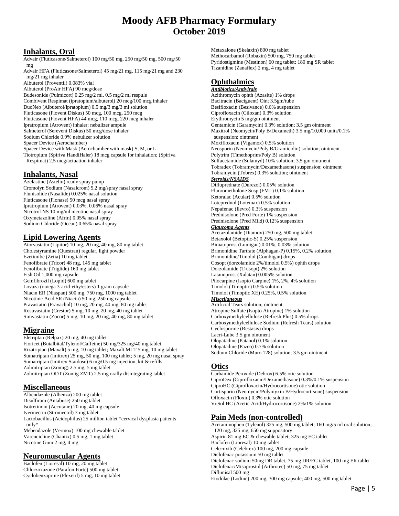## **Inhalants, Oral**

Advair (Fluticasone/Salmeterol) 100 mg/50 mg, 250 mg/50 mg, 500 mg/50 mg

Advair HFA (Fluticasone/Salmeterol) 45 mg/21 mg, 115 mg/21 mg and 230 mg/21 mg inhaler

Albuterol (Proventil) 0.083% vial Albuterol (ProAir HFA) 90 mcg/dose Budesonide (Pulmicort) 0.25 mg/2 ml, 0.5 mg/2 ml respule Combivent Respimat (ipratopium/albuterol) 20 mcg/100 mcg inhaler DuoNeb (Albuterol/Ipratopium) 0.5 mg/3 mg/3 ml solution Fluticasone (Flovent Diskus) 50 mcg, 100 mcg, 250 mcg Fluticasone (Flovent HFA) 44 mcg, 110 mcg, 220 mcg inhaler Ipratropium (Atrovent) inhaler; nebulizer ampule Salmeterol (Serevent Diskus) 50 mcg/dose inhaler Sodium Chloride 0.9% nebulizer solution Spacer Device (Aerochamber) Spacer Device with Mask (Aerochamber with mask) S, M, or L Tiotropium (Spiriva HandiHaler) 18 mcg capsule for inhalation; (Spiriva Respimat) 2.5 mcg/actuation inhaler

# **Inhalants, Nasal**

Azelastine (Astelin) ready spray pump Cromolyn Sodium (Nasalcrom) 5.2 mg/spray nasal spray Flunisolide (Nasalide) 0.025% nasal solution Fluticasone (Flonase) 50 mcg nasal spray Ipratropium (Atrovent) 0.03%, 0.06% nasal spray Nicotrol NS 10 mg/ml nicotine nasal spray Oxymetazoline (Afrin) 0.05% nasal spray Sodium Chloride (Ocean) 0.65% nasal spray

### **Lipid Lowering Agents**

Atorvastatin (Lipitor) 10 mg, 20 mg, 40 mg, 80 mg tablet Cholestyramine (Questran) regular, light powder Ezetimibe (Zetia) 10 mg tablet Fenofibrate (Tricor) 48 mg, 145 mg tablet Fenofibrate (Triglide) 160 mg tablet Fish Oil 1,000 mg capsule Gemfibrozil (Lopid) 600 mg tablet Lovaza (omega 3-acid-ethy/esters) 1 gram capsule Niacin ER (Niaspan) 500 mg, 750 mg, 1000 mg tablet Nicotinic Acid SR (Niacin) 50 mg, 250 mg capsule Pravastatin (Pravachol) 10 mg, 20 mg, 40 mg, 80 mg tablet Rosuvastatin (Crestor) 5 mg, 10 mg, 20 mg, 40 mg tablet Simvastatin (Zocor) 5 mg, 10 mg, 20 mg, 40 mg, 80 mg tablet

## **Migraine**

Eletriptan (Relpax) 20 mg, 40 mg tablet Fioricet (Butalbital/Tylenol/Caffeine) 50 mg/325 mg/40 mg tablet Rizatriptan (Maxalt) 5 mg, 10 mg tablet; Maxalt MLT 5 mg, 10 mg tablet Sumatriptan (Imitrex) 25 mg, 50 mg, 100 mg tablet; 5 mg, 20 mg nasal spray Sumatriptan (Imitrex Statdose) 6 mg/0.5 mg injection, kit & refills Zolmitriptan (Zomig) 2.5 mg, 5 mg tablet Zolmitriptan ODT (Zomig ZMT) 2.5 mg orally disintegrating tablet

## **Miscellaneous**

Albendazole (Albenza) 200 mg tablet Disulfiram (Antabuse) 250 mg tablet Isotretinoin (Accutane) 20 mg, 40 mg capsule Ivermectin (Stromectol) 3 mg tablet Lactobacillus (Acidophilus) 25 million tablet \*cervical dysplasia patients only\* Mebendazole (Vermox) 100 mg chewable tablet Varencicline (Chantix) 0.5 mg, 1 mg tablet

# Nicotine Gum 2 mg, 4 mg

## **Neuromuscular Agents**

Baclofen (Lioresal) 10 mg, 20 mg tablet Chlorzoxazone (Parafon Forte) 500 mg tablet Cyclobenzaprine (Flexeril) 5 mg, 10 mg tablet Metaxalone (Skelaxin) 800 mg tablet Methocarbamol (Robaxin) 500 mg, 750 mg tablet Pyridostigmine (Mestinon) 60 mg tablet; 180 mg SR tablet Tizanidine (Zanaflex) 2 mg, 4 mg tablet

## **Ophthalmics**

*Antibiotics/Antivirals* Azithromycin ophth (Azasite) 1% drops Bacitracin (Baciguent) Oint 3.5gm/tube Besifloxacin (Besivance) 0.6% suspension Ciprofloxacin (Ciloxan) 0.3% solution Erythromycin 5 mg/gm ointment Gentamicin (Garamycin) 0.3% solution; 3.5 gm ointment Maxitrol (Neomycin/Poly B/Dexameth) 3.5 mg/10,000 units/0.1% suspension; ointment Moxifloxacin (Vigamox) 0.5% solution Neosporin (Neomycin/Poly B/Gramicidin) solution; ointment Polytrim (Timethoprim/Poly B) solution Sulfacetamide (Sulamyd) 10% solution; 3.5 gm ointment Tobradex (Tobramycin/Dexamethasone) suspension; ointment Tobramycin (Tobrex) 0.3% solution; ointment *Steroids/NSAIDS* Difluprednate (Durezol) 0.05% solution Fluorometholone Susp (FML) 0.1% solution Ketoralac (Acular) 0.5% solution Loteprednol (Lotemax) 0.5% solution Nepafenac (Ilevro) 0.3% suspension Prednisolone (Pred Forte) 1% suspension Prednisolone (Pred Mild) 0.12% suspension *Glaucoma Agents* Acetazolamide (Diamox) 250 mg, 500 mg tablet Betaxolol (Betoptic-S) 0.25% suspension Bimatoprost (Lumigan) 0.01%, 0.03% solution Brimonidine Tartrate (Alphagan-P) 0.15%, 0.2% solution Brimonidine/Timolol (Combigan) drops Cosopt (dorzolamide 2%/timolol 0.5%) ophth drops Dorzolamide (Trusopt) 2% solution Latanoprost (Xalatan) 0.005% solution Pilocarpine (Isopto Carpine) 1%, 2%, 4% solution Timolol (Timoptic) 0.5% solution Timolol (Timoptic XE) 0.25%, 0.5% solution *Miscellaneous* Artificial Tears solution; ointment Atropine Sulfate (Isopto Atropine) 1% solution Carboxymethylcellulose (Refresh Plus) 0.5% drops Carboxymethylcellulose Sodium (Refresh Tears) solution Cyclosporine (Restasis) drops Lacri-Lube 3.5 gm ointment Olopatadine (Patanol) 0.1% solution Olopatadine (Pazeo) 0.7% solution Sodium Chloride (Muro 128) solution; 3.5 gm ointment

## **Otics**

Carbamide Peroxide (Debrox) 6.5% otic solution CiproDex (Ciprofloxacin/Dexamethasone) 0.3%/0.1% suspension CiproHC (Ciprofloxacin/Hydrocortisone) otic solution Cortisporin (Neomycin/Polymyxin B/Hydrocortisone) suspension Ofloxacin (Floxin) 0.3% otic solution VoSol HC (Acetic Acid/Hydrocortisone) 2%/1% solution

# **Pain Meds (non-controlled)**

Acetaminophen (Tylenol) 325 mg, 500 mg tablet; 160 mg/5 ml oral solution; 120 mg, 325 mg, 650 mg suppository Aspirin 81 mg EC & chewable tablet; 325 mg EC tablet Baclofen (Lioresal) 10 mg tablet Celecoxib (Celebrex) 100 mg, 200 mg capsule Diclofenac potassium 50 mg tablet Diclofenac sodium 50mg DR tablet, 75 mg DR/EC tablet, 100 mg ER tablet Diclofenac/Misoprostol (Arthrotec) 50 mg, 75 mg tablet Diflunisal 500 mg Etodolac (Lodine) 200 mg, 300 mg capsule; 400 mg, 500 mg tablet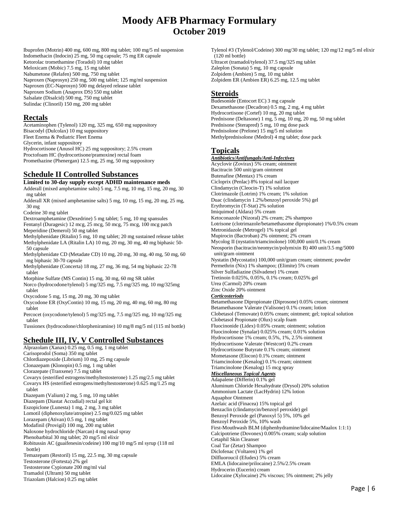Ibuprofen (Motrin) 400 mg, 600 mg, 800 mg tablet; 100 mg/5 ml suspension Indomethacin (Indocin) 25 mg, 50 mg capsule; 75 mg ER capsule Ketorolac tromethamine (Toradol) 10 mg tablet Meloxicam (Mobic) 7.5 mg, 15 mg tablet Nabumetone (Relafen) 500 mg, 750 mg tablet Naproxen (Naprosyn) 250 mg, 500 mg tablet; 125 mg/ml suspension Naproxen (EC-Naprosyn) 500 mg delayed release tablet Naproxen Sodium (Anaprox DS) 550 mg tablet Salsalate (Disalcid) 500 mg, 750 mg tablet Sulindac (Clinoril) 150 mg, 200 mg tablet

#### **Rectals**

Acetaminophen (Tylenol) 120 mg, 325 mg, 650 mg suppository Bisacodyl (Dulcolax) 10 mg suppository Fleet Enema & Pediatric Fleet Enema Glycerin, infant suppository Hydrocortisone (Anusol HC) 25 mg suppository; 2.5% cream Proctofoam HC (hydrocortisone/pramoxine) rectal foam Promethazine (Phenergan) 12.5 mg, 25 mg, 50 mg suppository

# **Schedule II Controlled Substances**

**Limited to 30-day supply except ADHD maintenance meds** Adderall (mixed amphetamine salts) 5 mg, 7.5 mg, 10 mg, 15 mg, 20 mg, 30

mg tablet

Adderall XR (mixed amphetamine salts) 5 mg, 10 mg, 15 mg, 20 mg, 25 mg, 30 mg

Codeine 30 mg tablet

Dextroamphetamine (Dexedrine) 5 mg tablet; 5 mg, 10 mg spansules Fentanyl (Duragesic) 12 mcg, 25 mcg, 50 mcg, 75 mcg, 100 mcg patch Meperidine (Demerol) 50 mg tablet

- Methylphenidate (Ritalin) 5 mg, 10 mg tablet; 20 mg sustained release tablet Methylphenidate LA (Ritalin LA) 10 mg, 20 mg, 30 mg, 40 mg biphasic 50- 50 capsule
- Methylphenidate CD (Metadate CD) 10 mg, 20 mg, 30 mg, 40 mg, 50 mg, 60 mg biphasic 30-70 capsule
- Methylphenidate (Concerta) 18 mg, 27 mg, 36 mg, 54 mg biphasic 22-78 tablet

Morphine Sulfate (MS Contin) 15 mg, 30 mg, 60 mg SR tablet Norco (hydrocodone/tylenol) 5 mg/325 mg, 7.5 mg/325 mg, 10 mg/325mg tablet

- Oxycodone 5 mg, 15 mg, 20 mg, 30 mg tablet
- Oxycodone ER (OxyContin) 10 mg, 15 mg, 20 mg, 40 mg, 60 mg, 80 mg tablet

Percocet (oxycodone/tylenol) 5 mg/325 mg, 7.5 mg/325 mg, 10 mg/325 mg tablet

Tussionex (hydrocodone/chlorpheniramine) 10 mg/8 mg/5 ml (115 ml bottle)

# **Schedule III, IV, V Controlled Substances**

Alprazolam (Xanax) 0.25 mg, 0.5 mg, 1 mg tablet Carisoprodol (Soma) 350 mg tablet Chlordiazepoxide (Librium) 10 mg, 25 mg capsule Clonazepam (Klonopin) 0.5 mg, 1 mg tablet Clorazepate (Tranxene) 7.5 mg tablet Covaryx (esterified estrogens/methyltestosterone) 1.25 mg/2.5 mg tablet Covaryx HS (esterified estrogens/methyltestosterone) 0.625 mg/1.25 mg tablet Diazepam (Valium) 2 mg, 5 mg, 10 mg tablet Diazepam (Diastat Accudial) rectal gel kit Eszopiclone (Lunesta) 1 mg, 2 mg, 3 mg tablet Lomotil (diphenoxylate/atropine) 2.5 mg/0.025 mg tablet Lorazepam (Ativan) 0.5 mg, 1 mg tablet Modafinil (Provigil) 100 mg, 200 mg tablet Naloxone hydrochloride (Narcan) 4 mg nasal spray Phenobarbital 30 mg tablet; 20 mg/5 ml elixir Robitussin AC (guaifenesin/codeine) 100 mg/10 mg/5 ml syrup (118 ml bottle) Temazepam (Restoril) 15 mg, 22.5 mg, 30 mg capsule Testosterone (Fortesta) 2% gel Testosterone Cypionate 200 mg/ml vial Tramadol (Ultram) 50 mg tablet Triazolam (Halcion) 0.25 mg tablet

Tylenol #3 (Tylenol/Codeine) 300 mg/30 mg tablet; 120 mg/12 mg/5 ml elixir (120 ml bottle) Ultracet (tramadol/tylenol) 37.5 mg/325 mg tablet Zaleplon (Sonata) 5 mg, 10 mg capsule Zolpidem (Ambien) 5 mg, 10 mg tablet Zolpidem ER (Ambien ER) 6.25 mg, 12.5 mg tablet

#### **Steroids**

Budesonide (Entocort EC) 3 mg capsule Dexamethasone (Decadron) 0.5 mg, 2 mg, 4 mg tablet Hydrocortisone (Cortef) 10 mg, 20 mg tablet Prednisone (Deltasone) 1 mg, 5 mg, 10 mg, 20 mg, 50 mg tablet Prednisone (Sterapred) 5 mg, 10 mg dose pack Prednisolone (Prelone) 15 mg/5 ml solution Methylprednisolone (Medrol) 4 mg tablet; dose pack

### **Topicals**

*Antibiotics/Antifungals/Anti-Infectives* Acyclovir (Zovirax) 5% cream; ointment Bacitracin 500 unit/gram ointment Butenafine (Mentax) 1% cream Cicloprix (Penlac) 8% topical nail lacquer Clindamycin (Cleocin-T) 1% solution Clotrimazole (Lotrim) 1% cream; 1% solution Duac (clindamycin 1.2%/benzoyl peroxide 5%) gel Erythromycin (T-Stat) 2% solution Imiquimod (Aldara) 5% cream Ketoconazole (Nizoral) 2% cream; 2% shampoo Lotrisone (clotrimazole/betamethasome dipropionate) 1%/0.5% cream Metronidazole (Metrogel) 1% topical gel Mupirocin (Bactroban) 2% ointment; 2% cream Mycolog II (nystatin/triamcinolone) 100,000 unit/0.1% cream Neosporin (bacitracin/neomycin/polymixin B) 400 unit/3.5 mg/5000 unit/gram ointment Nystatin (Mycostatin) 100,000 unit/gram cream; ointment; powder Permethrin (Nix) 1% shampoo; (Elimite) 5% cream Silver Sulfadiazine (Silvadene) 1% cream Tretinoin 0.025%, 0.05%, 0.1% cream; 0.025% gel Urea (Carmol) 20% cream Zinc Oxide 20% ointment *Corticosteriods* Betamethasone Dipropionate (Diprosone) 0.05% cream; ointment Betamethasone Valerate (Valisone) 0.1% cream; lotion Clobetasol (Temovate) 0.05% cream; ointment; gel; topical solution Clobetasol Propionate (Olux) scalp foam Fluocinonide (Lidex) 0.05% cream; ointment; solution Fluocinolone (Synalar) 0.025% cream; 0.01% solution Hydrocortisone 1% cream; 0.5%, 1%, 2.5% ointment Hydrocortisone Valerate (Westcort) 0.2% cream Hydrocortisone Butyrate 0.1% cream; ointment Mometasone (Elocon) 0.1% cream; ointment Triamcinolone (Kenalog) 0.1% cream; ointment Triamcinolone (Kenalog) 15 mcg spray *Miscellaneous Topical Agents* Adapalene (Differin) 0.1% gel Aluminum Chloride Hexahydrate (Drysol) 20% solution Ammonium Lactate (LacHydrin) 12% lotion Aquaphor Ointment Azelaic acid (Finacea) 15% topical gel Benzaclin (clindamycin/benzoyl peroxide) gel Benzoyl Peroxide gel (Panoxyl 5) 5%, 10% gel Benzoyl Peroxide 5%, 10% wash First-Mouthwash BLM (diphenhydramine/lidocaine/Maalox 1:1:1) Calcipotriene (Dovonex) 0.005% cream; scalp solution Cetaphil Skin Cleanser Coal Tar (Zetar) Shampoo Diclofenac (Voltaren) 1% gel Dilfluoroucil (Efudex) 5% cream EMLA (lidocaine/prilocaine) 2.5%/2.5% cream Hydrocerin (Eucerin) cream Lidocaine (Xylocaine) 2% viscous; 5% ointment; 2% jelly